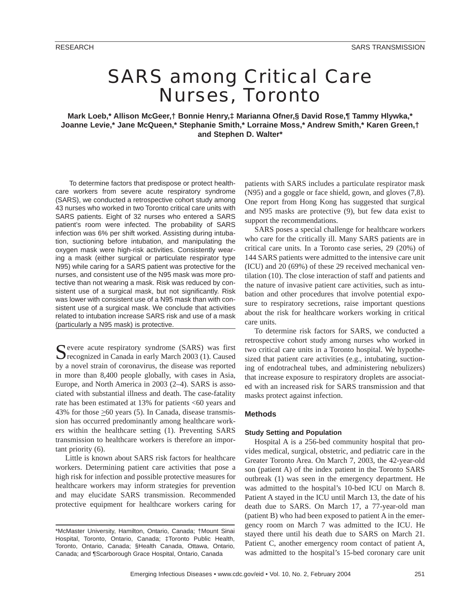# SARS among Critical Care Nurses, Toronto

**Mark Loeb,\* Allison McGeer,† Bonnie Henry,‡ Marianna Ofner,§ David Rose,¶ Tammy Hlywka,\* Joanne Levie,\* Jane McQueen,\* Stephanie Smith,\* Lorraine Moss,\* Andrew Smith,\* Karen Green,† and Stephen D. Walter\*** 

To determine factors that predispose or protect healthcare workers from severe acute respiratory syndrome (SARS), we conducted a retrospective cohort study among 43 nurses who worked in two Toronto critical care units with SARS patients. Eight of 32 nurses who entered a SARS patient's room were infected. The probability of SARS infection was 6% per shift worked. Assisting during intubation, suctioning before intubation, and manipulating the oxygen mask were high-risk activities. Consistently wearing a mask (either surgical or particulate respirator type N95) while caring for a SARS patient was protective for the nurses, and consistent use of the N95 mask was more protective than not wearing a mask. Risk was reduced by consistent use of a surgical mask, but not significantly. Risk was lower with consistent use of a N95 mask than with consistent use of a surgical mask. We conclude that activities related to intubation increase SARS risk and use of a mask (particularly a N95 mask) is protective.

C evere acute respiratory syndrome (SARS) was first  $\Box$  recognized in Canada in early March 2003 (1). Caused by a novel strain of coronavirus, the disease was reported in more than 8,400 people globally, with cases in Asia, Europe, and North America in 2003 (2–4). SARS is associated with substantial illness and death. The case-fatality rate has been estimated at 13% for patients <60 years and 43% for those >60 years (5). In Canada, disease transmission has occurred predominantly among healthcare workers within the healthcare setting (1). Preventing SARS transmission to healthcare workers is therefore an important priority (6).

Little is known about SARS risk factors for healthcare workers. Determining patient care activities that pose a high risk for infection and possible protective measures for healthcare workers may inform strategies for prevention and may elucidate SARS transmission. Recommended protective equipment for healthcare workers caring for

patients with SARS includes a particulate respirator mask (N95) and a goggle or face shield, gown, and gloves (7,8). One report from Hong Kong has suggested that surgical and N95 masks are protective (9), but few data exist to support the recommendations.

SARS poses a special challenge for healthcare workers who care for the critically ill. Many SARS patients are in critical care units. In a Toronto case series, 29 (20%) of 144 SARS patients were admitted to the intensive care unit (ICU) and 20 (69%) of these 29 received mechanical ventilation (10). The close interaction of staff and patients and the nature of invasive patient care activities, such as intubation and other procedures that involve potential exposure to respiratory secretions, raise important questions about the risk for healthcare workers working in critical care units.

To determine risk factors for SARS, we conducted a retrospective cohort study among nurses who worked in two critical care units in a Toronto hospital. We hypothesized that patient care activities (e.g., intubating, suctioning of endotracheal tubes, and administering nebulizers) that increase exposure to respiratory droplets are associated with an increased risk for SARS transmission and that masks protect against infection.

# **Methods**

# **Study Setting and Population**

Hospital A is a 256-bed community hospital that provides medical, surgical, obstetric, and pediatric care in the Greater Toronto Area. On March 7, 2003, the 42-year-old son (patient A) of the index patient in the Toronto SARS outbreak (1) was seen in the emergency department. He was admitted to the hospital's 10-bed ICU on March 8. Patient A stayed in the ICU until March 13, the date of his death due to SARS. On March 17, a 77-year-old man (patient B) who had been exposed to patient A in the emergency room on March 7 was admitted to the ICU. He stayed there until his death due to SARS on March 21. Patient C, another emergency room contact of patient A, was admitted to the hospital's 15-bed coronary care unit

<sup>\*</sup>McMaster University, Hamilton, Ontario, Canada; †Mount Sinai Hospital, Toronto, Ontario, Canada; ‡Toronto Public Health, Toronto, Ontario, Canada; §Health Canada, Ottawa, Ontario, Canada; and ¶Scarborough Grace Hospital, Ontario, Canada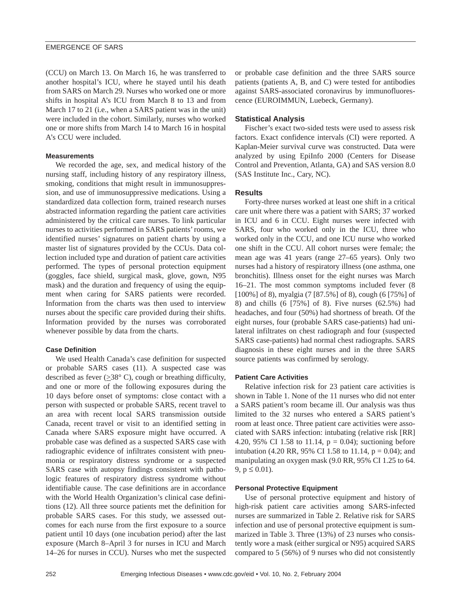(CCU) on March 13. On March 16, he was transferred to another hospital's ICU, where he stayed until his death from SARS on March 29. Nurses who worked one or more shifts in hospital A's ICU from March 8 to 13 and from March 17 to 21 (i.e., when a SARS patient was in the unit) were included in the cohort. Similarly, nurses who worked one or more shifts from March 14 to March 16 in hospital A's CCU were included.

# **Measurements**

We recorded the age, sex, and medical history of the nursing staff, including history of any respiratory illness, smoking, conditions that might result in immunosuppression, and use of immunosuppressive medications. Using a standardized data collection form, trained research nurses abstracted information regarding the patient care activities administered by the critical care nurses. To link particular nurses to activities performed in SARS patients' rooms, we identified nurses' signatures on patient charts by using a master list of signatures provided by the CCUs. Data collection included type and duration of patient care activities performed. The types of personal protection equipment (goggles, face shield, surgical mask, glove, gown, N95 mask) and the duration and frequency of using the equipment when caring for SARS patients were recorded. Information from the charts was then used to interview nurses about the specific care provided during their shifts. Information provided by the nurses was corroborated whenever possible by data from the charts.

# **Case Definition**

We used Health Canada's case definition for suspected or probable SARS cases (11). A suspected case was described as fever  $(\geq 38^{\circ} \text{ C})$ , cough or breathing difficulty, and one or more of the following exposures during the 10 days before onset of symptoms: close contact with a person with suspected or probable SARS, recent travel to an area with recent local SARS transmission outside Canada, recent travel or visit to an identified setting in Canada where SARS exposure might have occurred. A probable case was defined as a suspected SARS case with radiographic evidence of infiltrates consistent with pneumonia or respiratory distress syndrome or a suspected SARS case with autopsy findings consistent with pathologic features of respiratory distress syndrome without identifiable cause. The case definitions are in accordance with the World Health Organization's clinical case definitions (12). All three source patients met the definition for probable SARS cases. For this study, we assessed outcomes for each nurse from the first exposure to a source patient until 10 days (one incubation period) after the last exposure (March 8–April 3 for nurses in ICU and March 14–26 for nurses in CCU). Nurses who met the suspected

or probable case definition and the three SARS source patients (patients A, B, and C) were tested for antibodies against SARS-associated coronavirus by immunofluorescence (EUROIMMUN, Luebeck, Germany).

# **Statistical Analysis**

Fischer's exact two-sided tests were used to assess risk factors. Exact confidence intervals (CI) were reported. A Kaplan-Meier survival curve was constructed. Data were analyzed by using EpiInfo 2000 (Centers for Disease Control and Prevention, Atlanta, GA) and SAS version 8.0 (SAS Institute Inc., Cary, NC).

# **Results**

Forty-three nurses worked at least one shift in a critical care unit where there was a patient with SARS; 37 worked in ICU and 6 in CCU. Eight nurses were infected with SARS, four who worked only in the ICU, three who worked only in the CCU, and one ICU nurse who worked one shift in the CCU. All cohort nurses were female; the mean age was 41 years (range 27–65 years). Only two nurses had a history of respiratory illness (one asthma, one bronchitis). Illness onset for the eight nurses was March 16–21. The most common symptoms included fever (8 [100%] of 8), myalgia (7 [87.5%] of 8), cough (6 [75%] of 8) and chills (6 [75%] of 8). Five nurses (62.5%) had headaches, and four (50%) had shortness of breath. Of the eight nurses, four (probable SARS case-patients) had unilateral infiltrates on chest radiograph and four (suspected SARS case-patients) had normal chest radiographs. SARS diagnosis in these eight nurses and in the three SARS source patients was confirmed by serology.

# **Patient Care Activities**

Relative infection risk for 23 patient care activities is shown in Table 1. None of the 11 nurses who did not enter a SARS patient's room became ill. Our analysis was thus limited to the 32 nurses who entered a SARS patient's room at least once. Three patient care activities were associated with SARS infection: intubating (relative risk [RR] 4.20, 95% CI 1.58 to 11.14,  $p = 0.04$ ); suctioning before intubation (4.20 RR, 95% CI 1.58 to 11.14,  $p = 0.04$ ); and manipulating an oxygen mask (9.0 RR, 95% CI 1.25 to 64. 9,  $p \le 0.01$ ).

# **Personal Protective Equipment**

Use of personal protective equipment and history of high-risk patient care activities among SARS-infected nurses are summarized in Table 2. Relative risk for SARS infection and use of personal protective equipment is summarized in Table 3. Three (13%) of 23 nurses who consistently wore a mask (either surgical or N95) acquired SARS compared to 5 (56%) of 9 nurses who did not consistently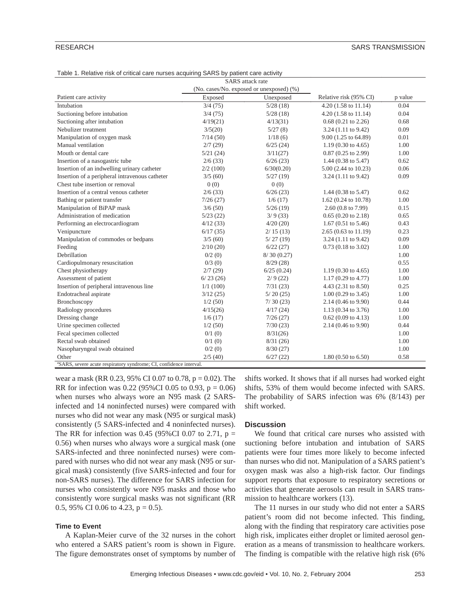| <b>SARS</b> attack rate                                                        |          |                                          |                                |         |  |  |
|--------------------------------------------------------------------------------|----------|------------------------------------------|--------------------------------|---------|--|--|
|                                                                                |          | (No. cases/No. exposed or unexposed) (%) |                                |         |  |  |
| Patient care activity                                                          | Exposed  | Unexposed                                | Relative risk (95% CI)         | p value |  |  |
| Intubation                                                                     | 3/4(75)  | 5/28(18)                                 | 4.20 (1.58 to 11.14)           | 0.04    |  |  |
| Suctioning before intubation                                                   | 3/4(75)  | 5/28(18)                                 | $4.20(1.58 \text{ to } 11.14)$ | 0.04    |  |  |
| Suctioning after intubation                                                    | 4/19(21) | 4/13(31)                                 | $0.68$ $(0.21$ to $2.26)$      | 0.68    |  |  |
| Nebulizer treatment                                                            | 3/5(20)  | 5/27(8)                                  | $3.24$ (1.11 to 9.42)          | 0.09    |  |  |
| Manipulation of oxygen mask                                                    | 7/14(50) | 1/18(6)                                  | 9.00 (1.25 to 64.89)           | 0.01    |  |  |
| Manual ventilation                                                             | 2/7(29)  | 6/25(24)                                 | $1.19(0.30 \text{ to } 4.65)$  | 1.00    |  |  |
| Mouth or dental care                                                           | 5/21(24) | 3/11(27)                                 | $0.87$ (0.25 to 2.99)          | 1.00    |  |  |
| Insertion of a nasogastric tube                                                | 2/6(33)  | 6/26(23)                                 | 1.44 $(0.38 \text{ to } 5.47)$ | 0.62    |  |  |
| Insertion of an indwelling urinary catheter                                    | 2/2(100) | 6/30(0.20)                               | 5.00 (2.44 to 10.23)           | 0.06    |  |  |
| Insertion of a peripheral intravenous catheter                                 | 3/5(60)  | 5/27(19)                                 | $3.24$ (1.11 to 9.42)          | 0.09    |  |  |
| Chest tube insertion or removal                                                | 0(0)     | 0(0)                                     |                                |         |  |  |
| Insertion of a central venous catheter                                         | 2/6(33)  | 6/26(23)                                 | 1.44 $(0.38 \text{ to } 5.47)$ | 0.62    |  |  |
| Bathing or patient transfer                                                    | 7/26(27) | 1/6(17)                                  | 1.62 (0.24 to 10.78)           | 1.00    |  |  |
| Manipulation of BiPAP mask                                                     | 3/6(50)  | 5/26(19)                                 | 2.60 (0.8 to 7.99)             | 0.15    |  |  |
| Administration of medication                                                   | 5/23(22) | 3/9(33)                                  | $0.65(0.20 \text{ to } 2.18)$  | 0.65    |  |  |
| Performing an electrocardiogram                                                | 4/12(33) | 4/20(20)                                 | $1.67(0.51 \text{ to } 5.46)$  | 0.43    |  |  |
| Venipuncture                                                                   | 6/17(35) | 2/15(13)                                 | 2.65 (0.63 to 11.19)           | 0.23    |  |  |
| Manipulation of commodes or bedpans                                            | 3/5(60)  | 5/27(19)                                 | $3.24$ (1.11 to 9.42)          | 0.09    |  |  |
| Feeding                                                                        | 2/10(20) | 6/22(27)                                 | $0.73$ (0.18 to 3.02)          | 1.00    |  |  |
| Debrillation                                                                   | 0/2(0)   | 8/30(0.27)                               |                                | 1.00    |  |  |
| Cardiopulmonary resuscitation                                                  | 0/3(0)   | 8/29(28)                                 |                                | 0.55    |  |  |
| Chest physiotherapy                                                            | 2/7(29)  | 6/25(0.24)                               | $1.19(0.30 \text{ to } 4.65)$  | 1.00    |  |  |
| Assessment of patient                                                          | 6/23(26) | 2/9(22)                                  | $1.17(0.29 \text{ to } 4.77)$  | 1.00    |  |  |
| Insertion of peripheral intravenous line                                       | 1/1(100) | 7/31(23)                                 | 4.43 $(2.31 \text{ to } 8.50)$ | 0.25    |  |  |
| Endotracheal aspirate                                                          | 3/12(25) | 5/20(25)                                 | $1.00$ (0.29 to 3.45)          | 1.00    |  |  |
| Bronchoscopy                                                                   | 1/2(50)  | 7/30(23)                                 | 2.14 (0.46 to 9.90)            | 0.44    |  |  |
| Radiology procedures                                                           | 4/15(26) | 4/17(24)                                 | 1.13 $(0.34 \text{ to } 3.76)$ | 1.00    |  |  |
| Dressing change                                                                | 1/6(17)  | 7/26(27)                                 | $0.62$ (0.09 to 4.13)          | 1.00    |  |  |
| Urine specimen collected                                                       | 1/2(50)  | 7/30(23)                                 | 2.14 (0.46 to 9.90)            | 0.44    |  |  |
| Fecal specimen collected                                                       | 0/1(0)   | 8/31(26)                                 |                                | 1.00    |  |  |
| Rectal swab obtained                                                           | 0/1(0)   | 8/31(26)                                 |                                | 1.00    |  |  |
| Nasopharyngeal swab obtained                                                   | 0/2(0)   | 8/30(27)                                 |                                | 1.00    |  |  |
| Other                                                                          | 2/5(40)  | 6/27(22)                                 | $1.80(0.50 \text{ to } 6.50)$  | 0.58    |  |  |
| <sup>a</sup> SARS, severe acute respiratory syndrome; CI, confidence interval. |          |                                          |                                |         |  |  |

Table 1. Relative risk of critical care nurses acquiring SARS by patient care activity

wear a mask (RR 0.23, 95% CI 0.07 to 0.78, p = 0.02). The RR for infection was 0.22 (95%CI 0.05 to 0.93,  $p = 0.06$ ) when nurses who always wore an N95 mask (2 SARSinfected and 14 noninfected nurses) were compared with nurses who did not wear any mask (N95 or surgical mask) consistently (5 SARS-infected and 4 noninfected nurses). The RR for infection was 0.45 (95%CI 0.07 to 2.71,  $p =$ 0.56) when nurses who always wore a surgical mask (one SARS-infected and three noninfected nurses) were compared with nurses who did not wear any mask (N95 or surgical mask) consistently (five SARS-infected and four for non-SARS nurses). The difference for SARS infection for nurses who consistently wore N95 masks and those who consistently wore surgical masks was not significant (RR 0.5, 95% CI 0.06 to 4.23,  $p = 0.5$ ).

# **Time to Event**

A Kaplan-Meier curve of the 32 nurses in the cohort who entered a SARS patient's room is shown in Figure. The figure demonstrates onset of symptoms by number of

shifts worked. It shows that if all nurses had worked eight shifts, 53% of them would become infected with SARS. The probability of SARS infection was 6% (8/143) per shift worked.

# **Discussion**

We found that critical care nurses who assisted with suctioning before intubation and intubation of SARS patients were four times more likely to become infected than nurses who did not. Manipulation of a SARS patient's oxygen mask was also a high-risk factor. Our findings support reports that exposure to respiratory secretions or activities that generate aerosols can result in SARS transmission to healthcare workers (13).

The 11 nurses in our study who did not enter a SARS patient's room did not become infected. This finding, along with the finding that respiratory care activities pose high risk, implicates either droplet or limited aerosol generation as a means of transmission to healthcare workers. The finding is compatible with the relative high risk (6%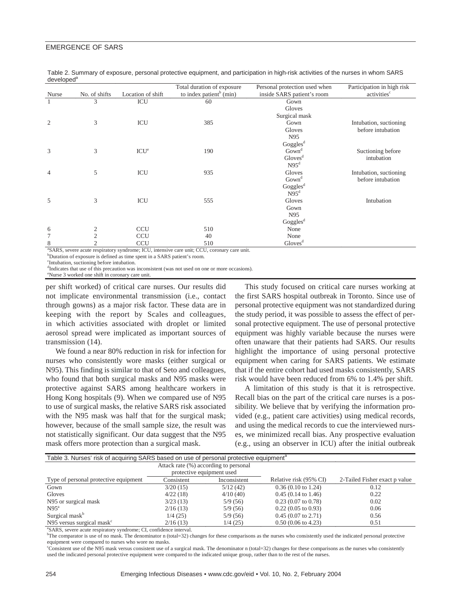|                                                                                                  |                |                   | Total duration of exposure          | Personal protection used when | Participation in high risk |  |
|--------------------------------------------------------------------------------------------------|----------------|-------------------|-------------------------------------|-------------------------------|----------------------------|--|
| Nurse                                                                                            | No. of shifts  | Location of shift | to index patient <sup>b</sup> (min) | inside SARS patient's room    | activities <sup>c</sup>    |  |
| $\mathbf{1}$                                                                                     | 3              | ICU               | 60                                  | Gown                          |                            |  |
|                                                                                                  |                |                   |                                     | Gloves                        |                            |  |
|                                                                                                  |                |                   |                                     | Surgical mask                 |                            |  |
| $\overline{2}$                                                                                   | 3              | ICU               | 385                                 | Gown                          | Intubation, suctioning     |  |
|                                                                                                  |                |                   |                                     | Gloves                        | before intubation          |  |
|                                                                                                  |                |                   |                                     | N95                           |                            |  |
|                                                                                                  |                |                   |                                     | Goggles <sup>d</sup>          |                            |  |
| 3                                                                                                | 3              | ICU <sup>e</sup>  | 190                                 | Gown <sup>d</sup>             | Suctioning before          |  |
|                                                                                                  |                |                   |                                     | Gloves <sup>d</sup>           | intubation                 |  |
|                                                                                                  |                |                   |                                     | N95 <sup>d</sup>              |                            |  |
| $\overline{4}$                                                                                   | 5              | ICU               | 935                                 | Gloves                        | Intubation, suctioning     |  |
|                                                                                                  |                |                   |                                     | Gown <sup>d</sup>             | before intubation          |  |
|                                                                                                  |                |                   |                                     | Goggles <sup>d</sup>          |                            |  |
|                                                                                                  |                |                   |                                     | N95 <sup>d</sup>              |                            |  |
| 5                                                                                                | 3              | ICU               | 555                                 | Gloves                        | Intubation                 |  |
|                                                                                                  |                |                   |                                     | Gown                          |                            |  |
|                                                                                                  |                |                   |                                     | N95                           |                            |  |
|                                                                                                  |                |                   |                                     | Goggles <sup>d</sup>          |                            |  |
| 6                                                                                                | 2              | <b>CCU</b>        | 510                                 | None                          |                            |  |
| $\tau$                                                                                           | $\overline{2}$ | <b>CCU</b>        | 40                                  | None                          |                            |  |
| 8                                                                                                |                | <b>CCU</b>        | 510                                 | Gloves <sup>d</sup>           |                            |  |
| <sup>3</sup> CARC coverage performance condroma: ICU intensive ear unit: CCU expressive ear unit |                |                   |                                     |                               |                            |  |

Table 2. Summary of exposure, personal protective equipment, and participation in high-risk activities of the nurses in whom SARS developed<sup>a</sup>

SARS, severe acute respiratory syndrome; ICU, intensive care unit; CCU, coronary care unit. b Duration of exposure is defined as time spent in a SARS patient's room.

c Intubation, suctioning before intubation.

d Indicates that use of this precaution was inconsistent (was not used on one or more occasions).

e Nurse 3 worked one shift in coronary care unit.

per shift worked) of critical care nurses. Our results did not implicate environmental transmission (i.e., contact through gowns) as a major risk factor. These data are in keeping with the report by Scales and colleagues, in which activities associated with droplet or limited aerosol spread were implicated as important sources of transmission (14).

We found a near 80% reduction in risk for infection for nurses who consistently wore masks (either surgical or N95). This finding is similar to that of Seto and colleagues, who found that both surgical masks and N95 masks were protective against SARS among healthcare workers in Hong Kong hospitals (9). When we compared use of N95 to use of surgical masks, the relative SARS risk associated with the N95 mask was half that for the surgical mask; however, because of the small sample size, the result was not statistically significant. Our data suggest that the N95 mask offers more protection than a surgical mask.

This study focused on critical care nurses working at the first SARS hospital outbreak in Toronto. Since use of personal protective equipment was not standardized during the study period, it was possible to assess the effect of personal protective equipment. The use of personal protective equipment was highly variable because the nurses were often unaware that their patients had SARS. Our results highlight the importance of using personal protective equipment when caring for SARS patients. We estimate that if the entire cohort had used masks consistently, SARS risk would have been reduced from 6% to 1.4% per shift.

A limitation of this study is that it is retrospective. Recall bias on the part of the critical care nurses is a possibility. We believe that by verifying the information provided (e.g., patient care activities) using medical records, and using the medical records to cue the interviewed nurses, we minimized recall bias. Any prospective evaluation (e.g., using an observer in ICU) after the initial outbreak

| Table 3. Nurses' risk of acquiring SARS based on use of personal protective equipment <sup>a</sup> |                           |              |                               |                               |  |  |  |  |
|----------------------------------------------------------------------------------------------------|---------------------------|--------------|-------------------------------|-------------------------------|--|--|--|--|
| Attack rate (%) according to personal                                                              |                           |              |                               |                               |  |  |  |  |
|                                                                                                    | protective equipment used |              |                               |                               |  |  |  |  |
| Type of personal protective equipment                                                              | Consistent                | Inconsistent | Relative risk (95% CI)        | 2-Tailed Fisher exact p value |  |  |  |  |
| Gown                                                                                               | 3/20(15)                  | 5/12(42)     | $0.36(0.10 \text{ to } 1.24)$ | 0.12                          |  |  |  |  |
| Gloves                                                                                             | 4/22(18)                  | 4/10(40)     | $0.45(0.14 \text{ to } 1.46)$ | 0.22                          |  |  |  |  |
| N <sub>95</sub> or surgical mask                                                                   | 3/23(13)                  | 5/9(56)      | $0.23$ (0.07 to 0.78)         | 0.02                          |  |  |  |  |
| $N95^a$                                                                                            | 2/16(13)                  | 5/9(56)      | $0.22$ (0.05 to 0.93)         | 0.06                          |  |  |  |  |
| Surgical mask <sup>b</sup>                                                                         | 1/4(25)                   | 5/9(56)      | $0.45(0.07 \text{ to } 2.71)$ | 0.56                          |  |  |  |  |
| N95 versus surgical mask $\epsilon$                                                                | 2/16(13)                  | 1/4(25)      | $0.50(0.06 \text{ to } 4.23)$ | 0.51                          |  |  |  |  |
| <sup>a</sup> SARS, severe acute respiratory syndrome; CI, confidence interval.                     |                           |              |                               |                               |  |  |  |  |

b The comparator is use of no mask. The denominator n (total=32) changes for these comparisons as the nurses who consistently used the indicated personal protective equipment were compared to nurses who wore no masks.

c Consistent use of the N95 mask versus consistent use of a surgical mask. The denominator n (total=32) changes for these comparisons as the nurses who consistently used the indicated personal protective equipment were compared to the indicated unique group, rather than to the rest of the nurses.